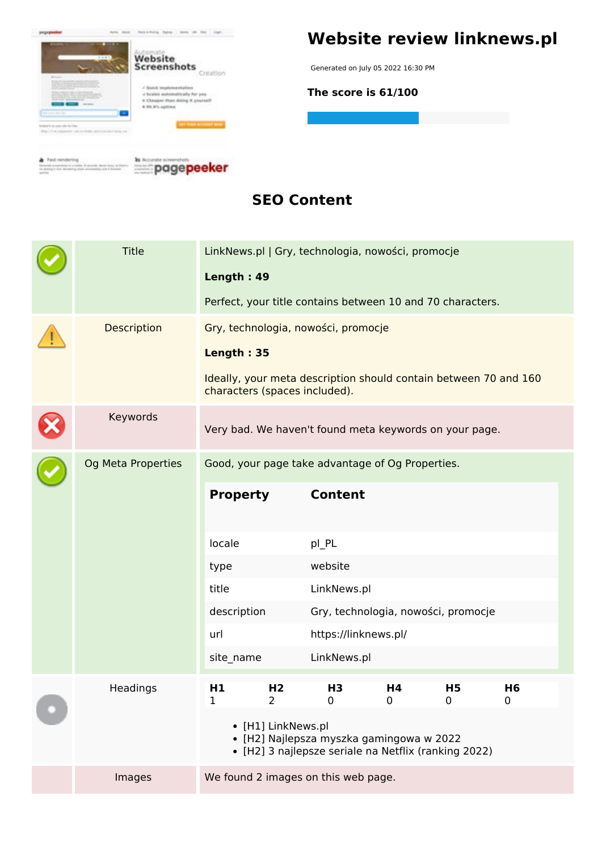

# **Website review linknews.pl**

Generated on July 05 2022 16:30 PM

**The score is 61/100**

**SEO Content**

|  | <b>Title</b>       |                                                  |                                  | LinkNews.pl   Gry, technologia, nowości, promocje                                                 |                   |                               |                                    |  |
|--|--------------------|--------------------------------------------------|----------------------------------|---------------------------------------------------------------------------------------------------|-------------------|-------------------------------|------------------------------------|--|
|  |                    | Length: 49                                       |                                  |                                                                                                   |                   |                               |                                    |  |
|  |                    |                                                  |                                  | Perfect, your title contains between 10 and 70 characters.                                        |                   |                               |                                    |  |
|  | Description        | Gry, technologia, nowości, promocje              |                                  |                                                                                                   |                   |                               |                                    |  |
|  |                    | Length: 35                                       |                                  |                                                                                                   |                   |                               |                                    |  |
|  |                    |                                                  |                                  | Ideally, your meta description should contain between 70 and 160<br>characters (spaces included). |                   |                               |                                    |  |
|  | Keywords           |                                                  |                                  | Very bad. We haven't found meta keywords on your page.                                            |                   |                               |                                    |  |
|  | Og Meta Properties | Good, your page take advantage of Og Properties. |                                  |                                                                                                   |                   |                               |                                    |  |
|  |                    | <b>Property</b>                                  |                                  | <b>Content</b>                                                                                    |                   |                               |                                    |  |
|  |                    | locale                                           |                                  | pl_PL                                                                                             |                   |                               |                                    |  |
|  |                    | type                                             |                                  | website                                                                                           |                   |                               |                                    |  |
|  |                    | title                                            |                                  | LinkNews.pl                                                                                       |                   |                               |                                    |  |
|  |                    | description                                      |                                  | Gry, technologia, nowości, promocje                                                               |                   |                               |                                    |  |
|  |                    | url                                              |                                  | https://linknews.pl/                                                                              |                   |                               |                                    |  |
|  |                    | site_name                                        |                                  | LinkNews.pl                                                                                       |                   |                               |                                    |  |
|  | Headings           | H1                                               | H <sub>2</sub><br>$\overline{2}$ | H3<br>$\mathbf 0$                                                                                 | H4<br>$\mathbf 0$ | H <sub>5</sub><br>$\mathbf 0$ | H <sub>6</sub><br>$\boldsymbol{0}$ |  |
|  |                    |                                                  | • [H1] LinkNews.pl               | · [H2] Najlepsza myszka gamingowa w 2022<br>• [H2] 3 najlepsze seriale na Netflix (ranking 2022)  |                   |                               |                                    |  |
|  | Images             |                                                  |                                  | We found 2 images on this web page.                                                               |                   |                               |                                    |  |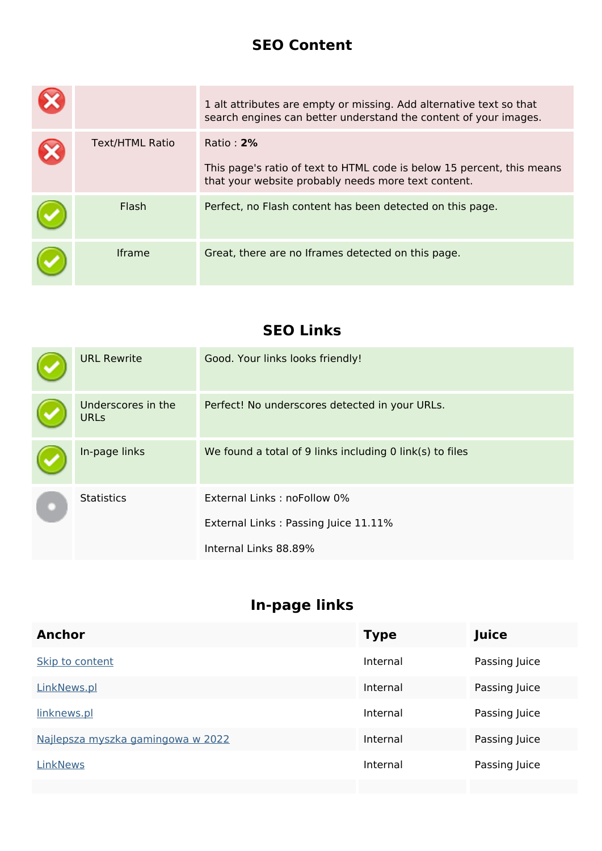#### **SEO Content**

|                        | 1 alt attributes are empty or missing. Add alternative text so that<br>search engines can better understand the content of your images.       |
|------------------------|-----------------------------------------------------------------------------------------------------------------------------------------------|
| <b>Text/HTML Ratio</b> | Ratio: $2\%$<br>This page's ratio of text to HTML code is below 15 percent, this means<br>that your website probably needs more text content. |
| Flash                  | Perfect, no Flash content has been detected on this page.                                                                                     |
| <b>Iframe</b>          | Great, there are no Iframes detected on this page.                                                                                            |

#### **SEO Links**

| <b>URL Rewrite</b>                | Good. Your links looks friendly!                         |
|-----------------------------------|----------------------------------------------------------|
| Underscores in the<br><b>URLs</b> | Perfect! No underscores detected in your URLs.           |
| In-page links                     | We found a total of 9 links including 0 link(s) to files |
| <b>Statistics</b>                 | External Links: noFollow 0%                              |
|                                   | External Links: Passing Juice 11.11%                     |
|                                   | Internal Links 88.89%                                    |

## **In-page links**

| <b>Anchor</b><br>Juice<br><b>Type</b>                          |  |
|----------------------------------------------------------------|--|
| Internal<br>Passing Juice<br>Skip to content                   |  |
| Internal<br>Passing Juice<br>LinkNews.pl                       |  |
| linknews.pl<br>Passing Juice<br>Internal                       |  |
| Najlepsza myszka gamingowa w 2022<br>Internal<br>Passing Juice |  |
| Internal<br>LinkNews<br>Passing Juice                          |  |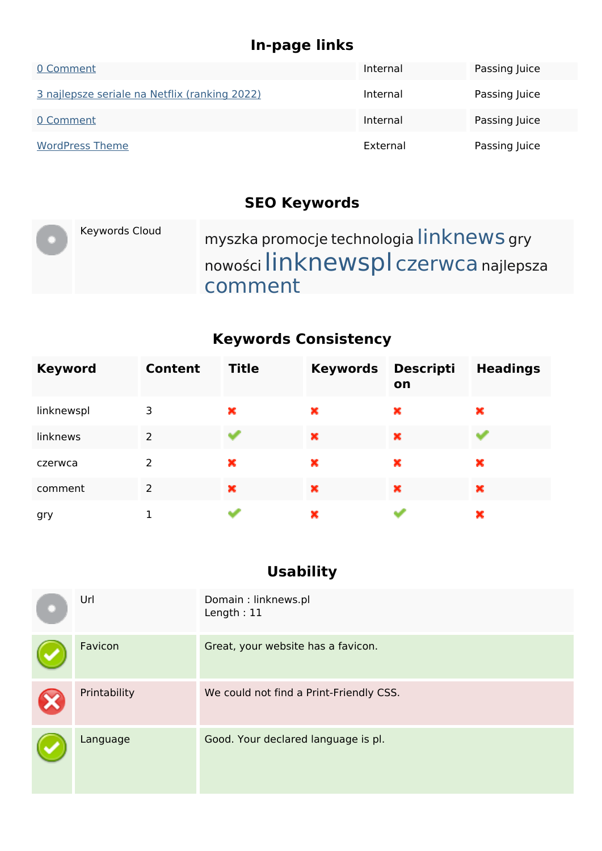## **In-page links**

| 0 Comment                                     | Internal | Passing Juice |
|-----------------------------------------------|----------|---------------|
| 3 najlepsze seriale na Netflix (ranking 2022) | Internal | Passing Juice |
| 0 Comment                                     | Internal | Passing Juice |
| <b>WordPress Theme</b>                        | External | Passing Juice |

#### **SEO Keywords**

| Keywords Cloud | myszka promocje technologia linknews gry<br>nowości linknewspl czerwca najlepsza |
|----------------|----------------------------------------------------------------------------------|
|                | comment                                                                          |

### **Keywords Consistency**

| <b>Keyword</b> | <b>Content</b> | <b>Title</b> | <b>Keywords</b> | <b>Descripti</b><br>on | <b>Headings</b> |
|----------------|----------------|--------------|-----------------|------------------------|-----------------|
| linknewspl     | 3              | ×            | ×               | ×                      | ×               |
| linknews       | $\overline{2}$ |              | ×               | ×                      |                 |
| czerwca        | 2              | ×            | ×               | ×                      | ×               |
| comment        | $\overline{2}$ | ×            | ×               | ×                      | ×               |
| gry            |                |              | ×               |                        | ×               |

### **Usability**

| Url          | Domain: linknews.pl<br>Length: $11$     |
|--------------|-----------------------------------------|
| Favicon      | Great, your website has a favicon.      |
| Printability | We could not find a Print-Friendly CSS. |
| Language     | Good. Your declared language is pl.     |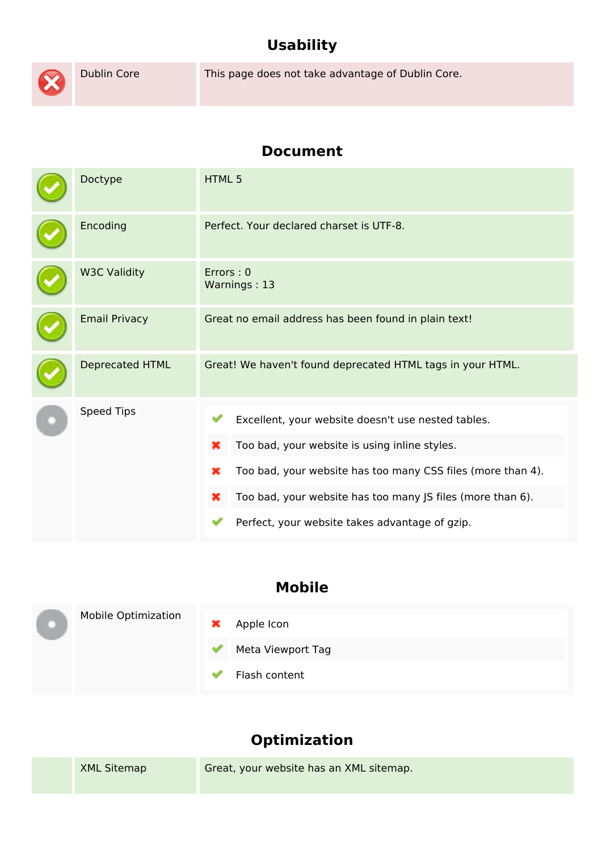# **Usability**



Dublin Core This page does not take advantage of Dublin Core.

#### **Document**

| Perfect. Your declared charset is UTF-8.                                                                                                                                                                                                                                           |  |  |
|------------------------------------------------------------------------------------------------------------------------------------------------------------------------------------------------------------------------------------------------------------------------------------|--|--|
| Errors: 0<br>Warnings: 13                                                                                                                                                                                                                                                          |  |  |
| Great no email address has been found in plain text!                                                                                                                                                                                                                               |  |  |
| Great! We haven't found deprecated HTML tags in your HTML.                                                                                                                                                                                                                         |  |  |
| Excellent, your website doesn't use nested tables.<br>Too bad, your website is using inline styles.<br>Too bad, your website has too many CSS files (more than 4).<br>Too bad, your website has too many JS files (more than 6).<br>Perfect, your website takes advantage of gzip. |  |  |
|                                                                                                                                                                                                                                                                                    |  |  |

#### **Mobile**

|  | <b>Mobile Optimization</b> | × | Apple Icon        |
|--|----------------------------|---|-------------------|
|  |                            |   | Meta Viewport Tag |
|  |                            |   | Flash content     |

# **Optimization**

|  | <b>XML Sitemap</b> | Great, your website has an XML sitemap. |
|--|--------------------|-----------------------------------------|
|--|--------------------|-----------------------------------------|